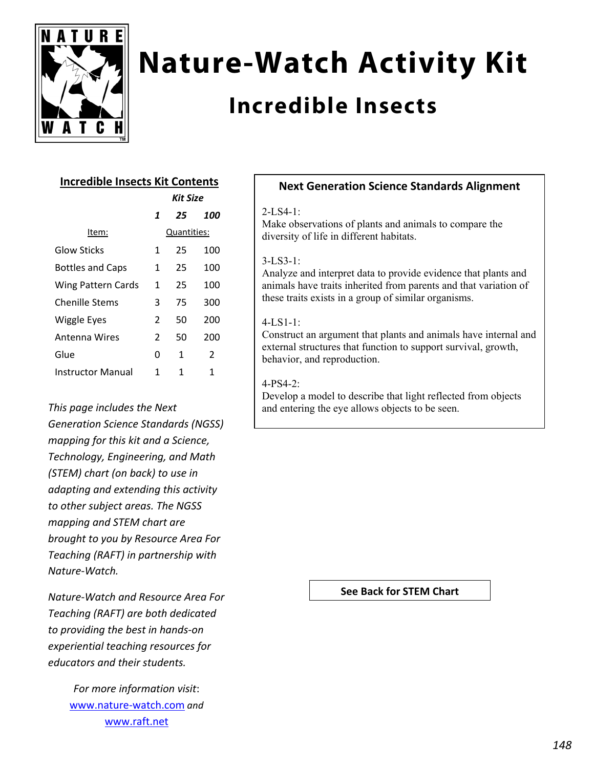

# **Nature-Watch Activity Kit**

# **Incredible Insects**

## **Incredible Insects Kit Contents**

| <b>Kit Size</b> |    |     |
|-----------------|----|-----|
| 1               | 25 | 100 |
| Quantities:     |    |     |
| 1               | 25 | 100 |
| 1               | 25 | 100 |
| 1               | 25 | 100 |
| 3               | 75 | 300 |
| 2               | 50 | 200 |
| 2               | 50 | 200 |
| 0               | 1  | 2   |
| 1               | 1  | 1   |
|                 |    |     |

# *This page includes the Next Generation Science Standards (NGSS) mapping for this kit and a Science, Technology, Engineering, and Math (STEM) chart (on back) to use in adapting and extending this activity to other subject areas. The NGSS mapping and STEM chart are brought to you by Resource Area For Teaching (RAFT) in partnership with Nature‐Watch.*

*Nature‐Watch and Resource Area For Teaching (RAFT) are both dedicated to providing the best in hands‐on experiential teaching resources for educators and their students.*

> *For more information visit*: www.nature‐watch.com *and* www.raft.net

### **Next Generation Science Standards Alignment**

#### $2$ -LS4-1:

Make observations of plants and animals to compare the diversity of life in different habitats.

#### 3-LS3-1:

Analyze and interpret data to provide evidence that plants and animals have traits inherited from parents and that variation of these traits exists in a group of similar organisms.

#### 4-LS1-1:

Construct an argument that plants and animals have internal and external structures that function to support survival, growth, behavior, and reproduction.

#### 4-PS4-2:

Develop a model to describe that light reflected from objects and entering the eye allows objects to be seen.

#### **See Back for STEM Chart**